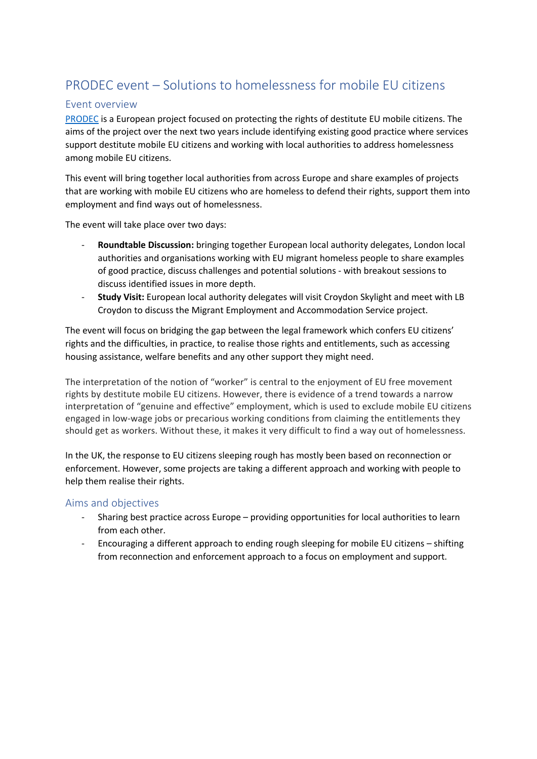# PRODEC event – Solutions to homelessness for mobile EU citizens

### Event overview

PRODEC is a European project focused on protecting the rights of destitute EU mobile citizens. The aims of the project over the next two years include identifying existing good practice where services support destitute mobile EU citizens and working with local authorities to address homelessness among mobile EU citizens.

This event will bring together local authorities from across Europe and share examples of projects that are working with mobile EU citizens who are homeless to defend their rights, support them into employment and find ways out of homelessness.

The event will take place over two days:

- **Roundtable Discussion:** bringing together European local authority delegates, London local authorities and organisations working with EU migrant homeless people to share examples of good practice, discuss challenges and potential solutions - with breakout sessions to discuss identified issues in more depth.
- **Study Visit:** European local authority delegates will visit Croydon Skylight and meet with LB Croydon to discuss the Migrant Employment and Accommodation Service project.

The event will focus on bridging the gap between the legal framework which confers EU citizens' rights and the difficulties, in practice, to realise those rights and entitlements, such as accessing housing assistance, welfare benefits and any other support they might need.

The interpretation of the notion of "worker" is central to the enjoyment of EU free movement rights by destitute mobile EU citizens. However, there is evidence of a trend towards a narrow interpretation of "genuine and effective" employment, which is used to exclude mobile EU citizens engaged in low-wage jobs or precarious working conditions from claiming the entitlements they should get as workers. Without these, it makes it very difficult to find a way out of homelessness.

In the UK, the response to EU citizens sleeping rough has mostly been based on reconnection or enforcement. However, some projects are taking a different approach and working with people to help them realise their rights.

#### Aims and objectives

- Sharing best practice across Europe providing opportunities for local authorities to learn from each other.
- Encouraging a different approach to ending rough sleeping for mobile EU citizens shifting from reconnection and enforcement approach to a focus on employment and support.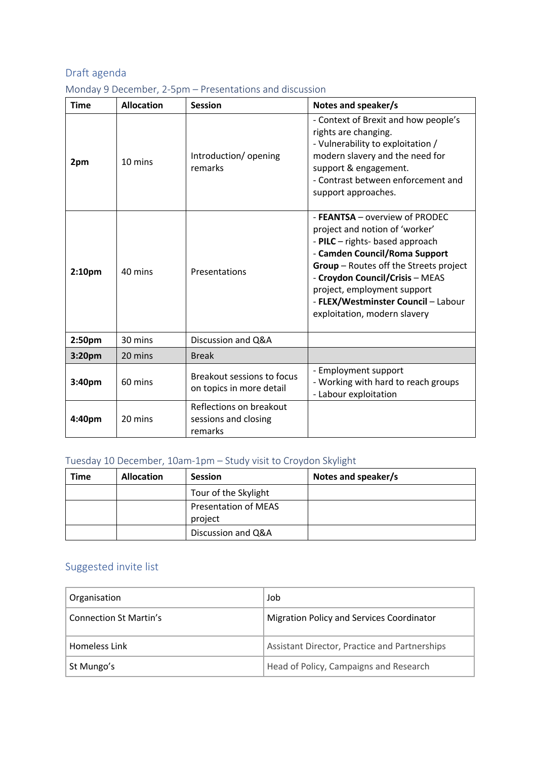# Draft agenda

| <b>Time</b> | <b>Allocation</b> | <b>Session</b>                                             | Notes and speaker/s                                                                                                                                                                                                                                                                                                            |
|-------------|-------------------|------------------------------------------------------------|--------------------------------------------------------------------------------------------------------------------------------------------------------------------------------------------------------------------------------------------------------------------------------------------------------------------------------|
| 2pm         | 10 mins           | Introduction/opening<br>remarks                            | - Context of Brexit and how people's<br>rights are changing.<br>- Vulnerability to exploitation /<br>modern slavery and the need for<br>support & engagement.<br>- Contrast between enforcement and<br>support approaches.                                                                                                     |
| 2:10pm      | 40 mins           | Presentations                                              | - FEANTSA - overview of PRODEC<br>project and notion of 'worker'<br>- PILC - rights- based approach<br>- Camden Council/Roma Support<br><b>Group</b> - Routes off the Streets project<br>- Croydon Council/Crisis - MEAS<br>project, employment support<br>- FLEX/Westminster Council - Labour<br>exploitation, modern slavery |
| 2:50pm      | 30 mins           | Discussion and Q&A                                         |                                                                                                                                                                                                                                                                                                                                |
| 3:20pm      | 20 mins           | <b>Break</b>                                               |                                                                                                                                                                                                                                                                                                                                |
| 3:40pm      | 60 mins           | Breakout sessions to focus<br>on topics in more detail     | - Employment support<br>- Working with hard to reach groups<br>- Labour exploitation                                                                                                                                                                                                                                           |
| 4:40pm      | 20 mins           | Reflections on breakout<br>sessions and closing<br>remarks |                                                                                                                                                                                                                                                                                                                                |

## Monday 9 December, 2-5pm – Presentations and discussion

# Tuesday 10 December, 10am-1pm – Study visit to Croydon Skylight

| Time | <b>Allocation</b> | <b>Session</b>                         | Notes and speaker/s |
|------|-------------------|----------------------------------------|---------------------|
|      |                   | Tour of the Skylight                   |                     |
|      |                   | <b>Presentation of MEAS</b><br>project |                     |
|      |                   | Discussion and Q&A                     |                     |

# Suggested invite list

| Organisation           | Job                                              |  |
|------------------------|--------------------------------------------------|--|
| Connection St Martin's | <b>Migration Policy and Services Coordinator</b> |  |
| Homeless Link          | Assistant Director, Practice and Partnerships    |  |
| St Mungo's             | Head of Policy, Campaigns and Research           |  |